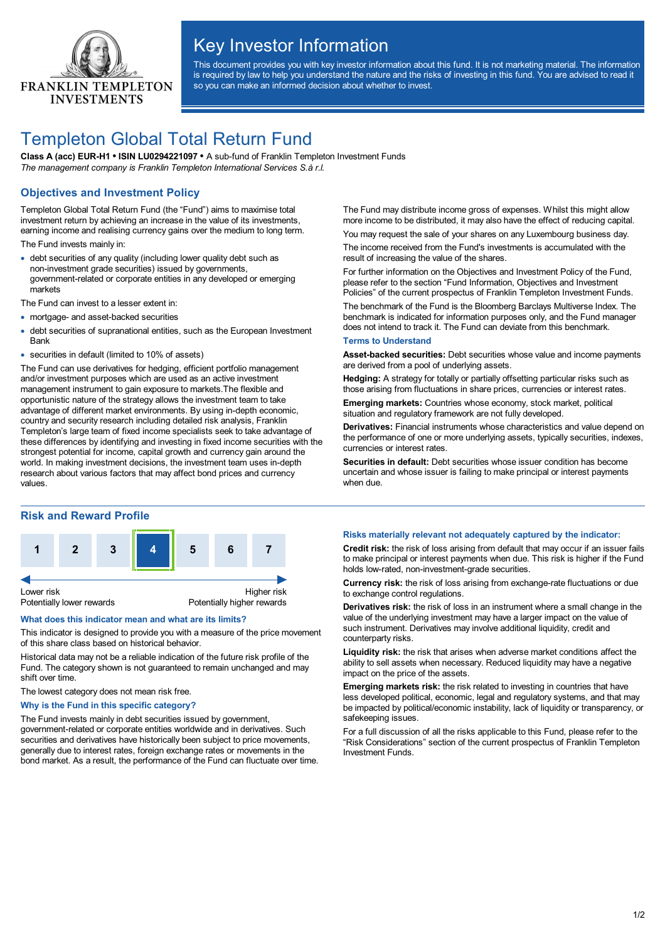

# Key Investor Information

This document provides you with key investor information about this fund. It is not marketing material. The information is required by law to help you understand the nature and the risks of investing in this fund. You are advised to read it so you can make an informed decision about whether to invest.

# Templeton Global Total Return Fund

**Class A (acc) EUR-H1 • ISIN LU0294221097 •** A sub-fund of Franklin Templeton Investment Funds *The management company is Franklin Templeton International Services S.à r.l.*

## **Objectives and Investment Policy**

Templeton Global Total Return Fund (the "Fund") aims to maximise total investment return by achieving an increase in the value of its investments, earning income and realising currency gains over the medium to long term.

The Fund invests mainly in:

· debt securities of any quality (including lower quality debt such as non-investment grade securities) issued by governments, government-related or corporate entities in any developed or emerging markets

The Fund can invest to a lesser extent in:

- · mortgage- and asset-backed securities
- · debt securities of supranational entities, such as the European Investment Bank
- · securities in default (limited to 10% of assets)

The Fund can use derivatives for hedging, efficient portfolio management and/or investment purposes which are used as an active investment management instrument to gain exposure to markets.The flexible and opportunistic nature of the strategy allows the investment team to take advantage of different market environments. By using in-depth economic, country and security research including detailed risk analysis, Franklin Templeton's large team of fixed income specialists seek to take advantage of these differences by identifying and investing in fixed income securities with the strongest potential for income, capital growth and currency gain around the world. In making investment decisions, the investment team uses in-depth research about various factors that may affect bond prices and currency values.

### **Risk and Reward Profile**



#### **What does this indicator mean and what are its limits?**

This indicator is designed to provide you with a measure of the price movement of this share class based on historical behavior.

Historical data may not be a reliable indication of the future risk profile of the Fund. The category shown is not guaranteed to remain unchanged and may shift over time.

The lowest category does not mean risk free.

#### **Why is the Fund in this specific category?**

The Fund invests mainly in debt securities issued by government, government-related or corporate entities worldwide and in derivatives. Such securities and derivatives have historically been subject to price movements, generally due to interest rates, foreign exchange rates or movements in the bond market. As a result, the performance of the Fund can fluctuate over time. The Fund may distribute income gross of expenses. Whilst this might allow more income to be distributed, it may also have the effect of reducing capital.

You may request the sale of your shares on any Luxembourg business day. The income received from the Fund's investments is accumulated with the result of increasing the value of the shares.

For further information on the Objectives and Investment Policy of the Fund, please refer to the section "Fund Information, Objectives and Investment Policies" of the current prospectus of Franklin Templeton Investment Funds.

The benchmark of the Fund is the Bloomberg Barclays Multiverse Index. The benchmark is indicated for information purposes only, and the Fund manager does not intend to track it. The Fund can deviate from this benchmark.

#### **Terms to Understand**

**Asset-backed securities:** Debt securities whose value and income payments are derived from a pool of underlying assets.

**Hedging:** A strategy for totally or partially offsetting particular risks such as those arising from fluctuations in share prices, currencies or interest rates.

**Emerging markets:** Countries whose economy, stock market, political situation and regulatory framework are not fully developed.

**Derivatives:** Financial instruments whose characteristics and value depend on the performance of one or more underlying assets, typically securities, indexes, currencies or interest rates.

**Securities in default:** Debt securities whose issuer condition has become uncertain and whose issuer is failing to make principal or interest payments when due.

#### **Risks materially relevant not adequately captured by the indicator:**

**Credit risk:** the risk of loss arising from default that may occur if an issuer fails to make principal or interest payments when due. This risk is higher if the Fund holds low-rated, non-investment-grade securities.

**Currency risk:** the risk of loss arising from exchange-rate fluctuations or due to exchange control regulations.

**Derivatives risk:** the risk of loss in an instrument where a small change in the value of the underlying investment may have a larger impact on the value of such instrument. Derivatives may involve additional liquidity, credit and counterparty risks.

**Liquidity risk:** the risk that arises when adverse market conditions affect the ability to sell assets when necessary. Reduced liquidity may have a negative impact on the price of the assets.

**Emerging markets risk:** the risk related to investing in countries that have less developed political, economic, legal and regulatory systems, and that may be impacted by political/economic instability, lack of liquidity or transparency, or safekeeping issues.

For a full discussion of all the risks applicable to this Fund, please refer to the "Risk Considerations" section of the current prospectus of Franklin Templeton Investment Funds.